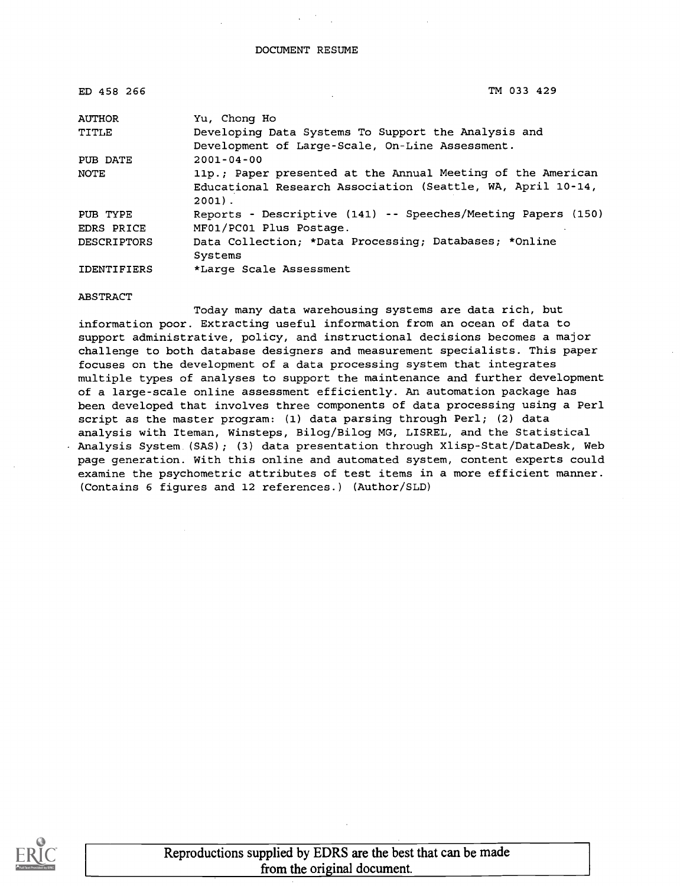| ED 458 266         | TM 033 429                                                   |  |  |  |
|--------------------|--------------------------------------------------------------|--|--|--|
| <b>AUTHOR</b>      | Yu, Chong Ho                                                 |  |  |  |
| TITLE              | Developing Data Systems To Support the Analysis and          |  |  |  |
|                    | Development of Large-Scale, On-Line Assessment.              |  |  |  |
| PUB DATE           | $2001 - 04 - 00$                                             |  |  |  |
| NOTE               | 11p.; Paper presented at the Annual Meeting of the American  |  |  |  |
|                    | Educational Research Association (Seattle, WA, April 10-14,  |  |  |  |
|                    | $2001$ .                                                     |  |  |  |
| PUB TYPE           | Reports - Descriptive (141) -- Speeches/Meeting Papers (150) |  |  |  |
| EDRS PRICE         | MF01/PC01 Plus Postage.                                      |  |  |  |
| <b>DESCRIPTORS</b> | Data Collection; *Data Processing; Databases; *Online        |  |  |  |
|                    | Systems                                                      |  |  |  |
| <b>IDENTIFIERS</b> | *Large Scale Assessment                                      |  |  |  |

ABSTRACT

Today many data warehousing systems are data rich, but information poor. Extracting useful information from an ocean of data to support administrative, policy, and instructional decisions becomes a major challenge to both database designers and measurement specialists. This paper focuses on the development of a data processing system that integrates multiple types of analyses to support the maintenance and further development of a large-scale online assessment efficiently. An automation package has been developed that involves three components of data processing using a Perl script as the master program: (1) data parsing through Perl; (2) data analysis with Iteman, Winsteps, Bilog/Bilog MG, LISREL, and the Statistical Analysis System (SAS); (3) data presentation through Xlisp-Stat/DataDesk, Web page generation. With this online and automated system, content experts could examine the psychometric attributes of test items in a more efficient manner. (Contains 6 figures and 12 references.) (Author/SLD)

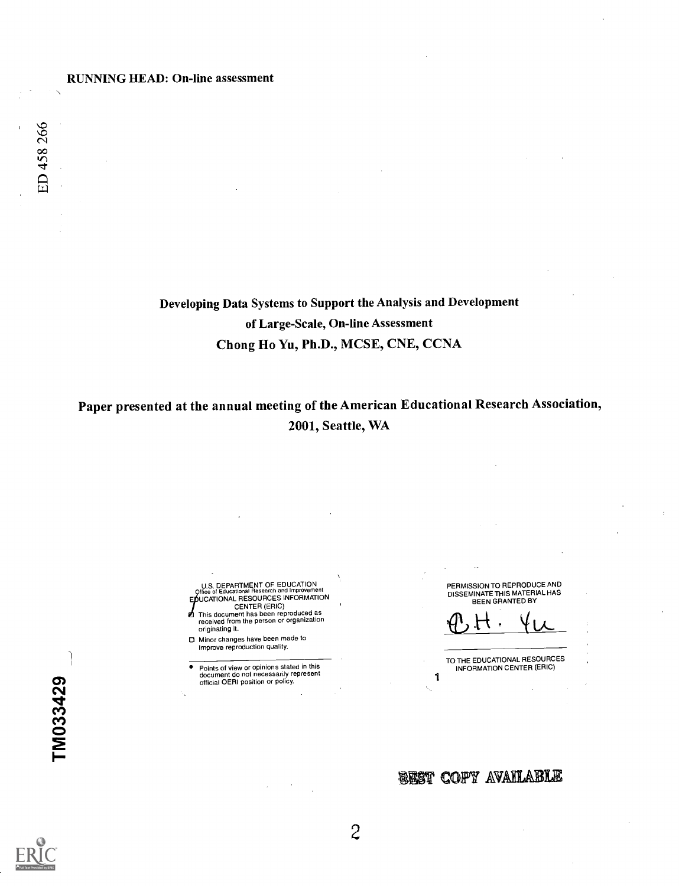Developing Data Systems to Support the Analysis and Development of Large-Scale, On-line Assessment Chong Ho Yu, Ph.D., MCSE, CNE, CCNA

Paper presented at the annual meeting of the American Educational Research Association, 2001, Seattle, WA

 $T<sub>M033429</sub>$ 

U.S. DEPARTMENT OF EDUCATION<br>Critice of Educational Research and Improvement<br>EDUCATIONAL RESOURCES INFORMATION<br>CENTER (ERIC)

- This document has been reproduced as received from the person or organization originating it.
- 0 Minor changes have been made to improve reproduction quality.
- Points of view or opinions stated in this document do not necessarily represent official OERI position or policy.

PERMISSION TO REPRODUCE AND DISSEMINATE THIS MATERIAL HAS BEEN GRANTED BY

 $10-$ 

TO THE EDUCATIONAL RESOURCES INFORMATION CENTER (ERIC)

### **BEST COPY AVAILABLE**

2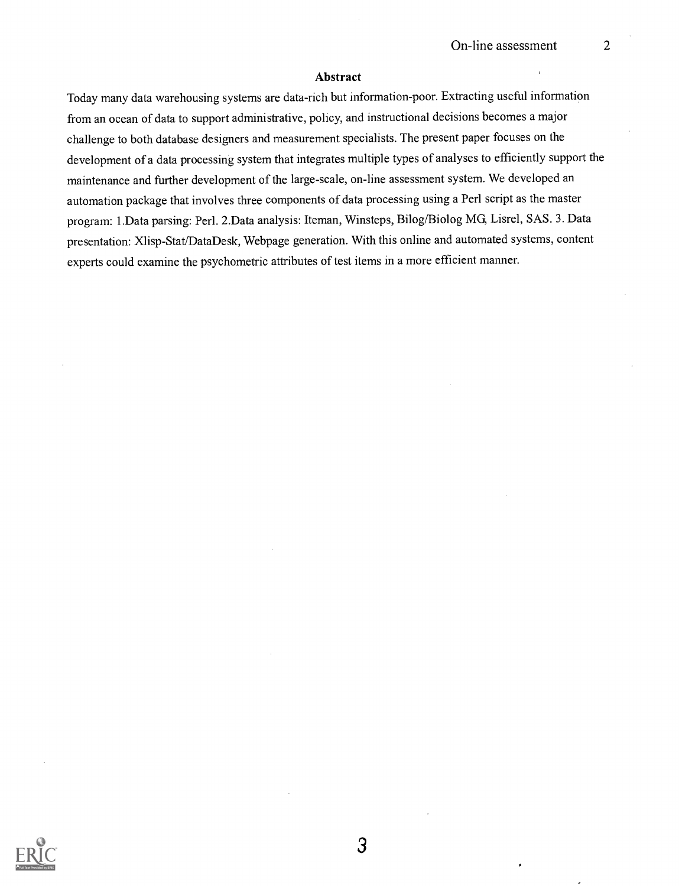#### Abstract

Today many data warehousing systems are data-rich but information-poor. Extracting useful information from an ocean of data to support administrative, policy, and instructional decisions becomes a major challenge to both database designers and measurement specialists. The present paper focuses on the development of a data processing system that integrates multiple types of analyses to efficiently support the maintenance and further development of the large-scale, on-line assessment system. We developed an automation package that involves three components of data processing using a Perl script as the master program: 1.Data parsing: Perl. 2.Data analysis: Iteman, Winsteps, Bilog/Biolog MG, Lisrel, SAS. 3. Data presentation: Xlisp-Stat/DataDesk, Webpage generation. With this online and automated systems, content experts could examine the psychometric attributes of test items in a more efficient manner.

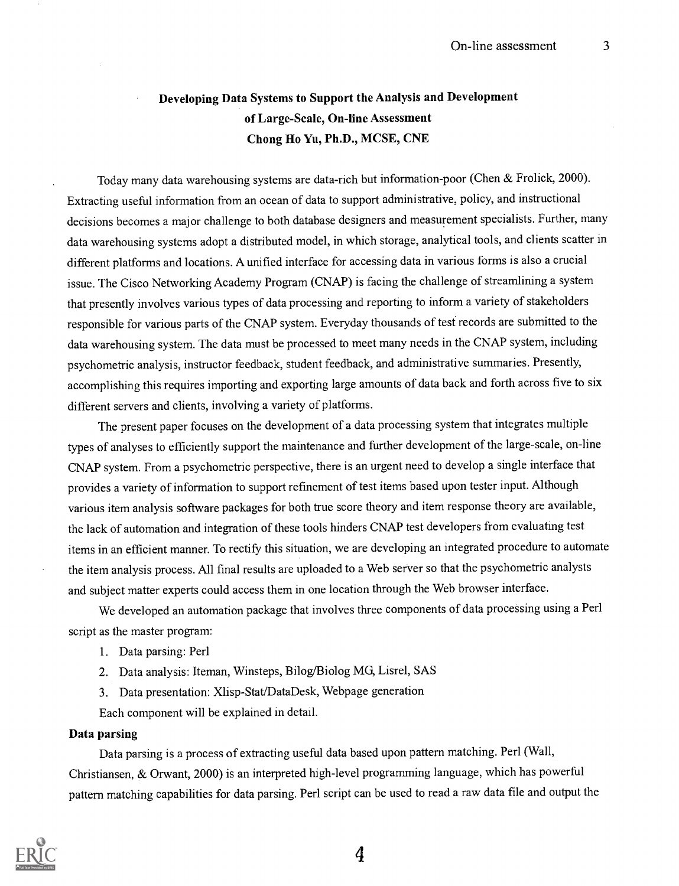### Developing Data Systems to Support the Analysis and Development of Large-Scale, On-line Assessment Chong Ho Yu, Ph.D., MCSE, CNE

Today many data warehousing systems are data-rich but information-poor (Chen & Frolick, 2000). Extracting useful information from an ocean of data to support administrative, policy, and instructional decisions becomes a major challenge to both database designers and measurement specialists. Further, many data warehousing systems adopt a distributed model, in which storage, analytical tools, and clients scatter in different platforms and locations. A unified interface for accessing data in various forms is also a crucial issue. The Cisco Networking Academy Program (CNAP) is facing the challenge of streamlining a system that presently involves various types of data processing and reporting to inform a variety of stakeholders responsible for various parts of the CNAP system. Everyday thousands of tesf records are submitted to the data warehousing system. The data must be processed to meet many needs in the CNAP system, including psychometric analysis, instructor feedback, student feedback, and administrative summaries. Presently, accomplishing this requires importing and exporting large amounts of data back and forth across five to six different servers and clients, involving a variety of platforms.

The present paper focuses on the development of a data processing system that integrates multiple types of analyses to efficiently support the maintenance and further development of the large-scale, on-line CNAP system. From a psychometric perspective, there is an urgent need to develop a single interface that provides a variety of information to support refinement of test items based upon tester input. Although various item analysis software packages for both true score theory and item response theory are available, the lack of automation and integration of these tools hinders CNAP test developers from evaluating test items in an efficient manner. To rectify this situation, we are developing an integrated procedure to automate the item analysis process. All final results are uploaded to a Web server so that the psychometric analysts and subject matter experts could access them in one location through the Web browser interface.

We developed an automation package that involves three components of data processing using a Perl script as the master program:

- 1. Data parsing: Perl
- 2. Data analysis: Iteman, Winsteps, Bilog/Biolog MG, Lisrel, SAS
- 3. Data presentation: Xlisp-Stat/DataDesk, Webpage generation
- Each component will be explained in detail.

#### Data parsing

Data parsing is a process of extracting useful data based upon pattern matching. Perl (Wall, Christiansen, & Orwant, 2000) is an interpreted high-level programming language, which has powerful pattern matching capabilities for data parsing. Perl script can be used to read a raw data file and output the

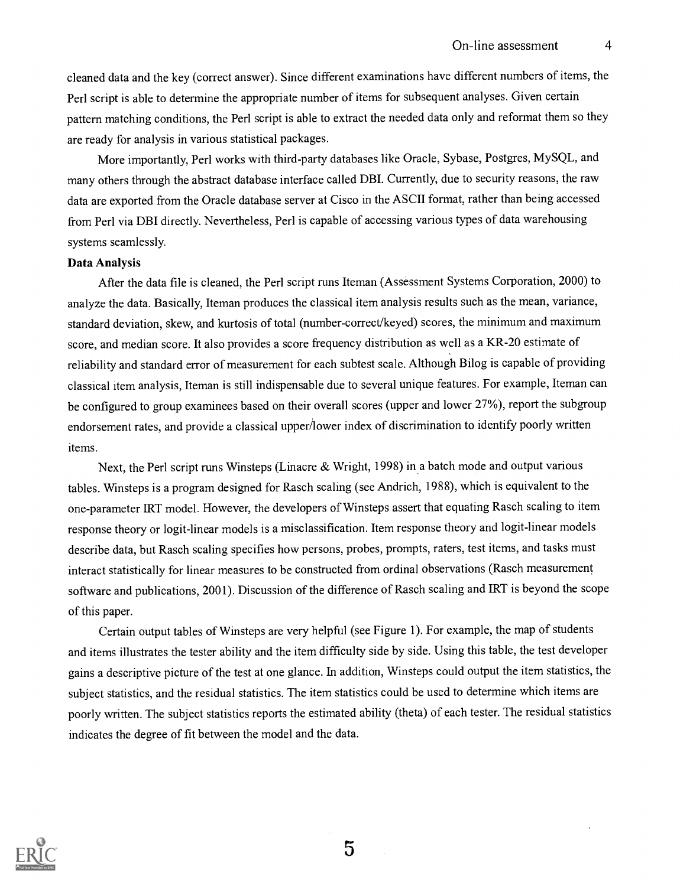cleaned data and the key (correct answer). Since different examinations have different numbers of items, the Peri script is able to determine the appropriate number of items for subsequent analyses. Given certain pattern matching conditions, the Perl script is able to extract the needed data only and reformat them so they are ready for analysis in various statistical packages.

More importantly, Perl works with third-party databases like Oracle, Sybase, Postgres, MySQL, and many others through the abstract database interface called DBI. Currently, due to security reasons, the raw data are exported from the Oracle database server at Cisco in the ASCII format, rather than being accessed from Perl via DBI directly. Nevertheless, Perl is capable of accessing various types of data warehousing systems seamlessly.

#### Data Analysis

After the data file is cleaned, the Perl script runs Iteman (Assessment Systems Corporation, 2000) to analyze the data. Basically, Iteman produces the classical item analysis results such as the mean, variance, standard deviation, skew, and kurtosis of total (number-correct/keyed) scores, the minimum and maximum score, and median score. It also provides a score frequency distribution as well as a KR-20 estimate of reliability and standard error of measurement for each subtest scale. Although Bilog is capable of providing classical item analysis, Iteman is still indispensable due to several unique features. For example, Iteman can be configured to group examinees based on their overall scores (upper and lower 27%), report the subgroup endorsement rates, and provide a classical upper/lower index of discrimination to identify poorly written items.

Next, the Perl script runs Winsteps (Linacre & Wright, 1998) in a batch mode and output various tables. Winsteps is a program designed for Rasch scaling (see Andrich, 1988), which is equivalent to the one-parameter IRT model. However, the developers of Winsteps assert that equating Rasch scaling to item response theory or logit-linear models is a misclassification. Item response theory and logit-linear models describe data, but Rasch scaling specifies how persons, probes, prompts, raters, test items, and tasks must interact statistically for linear measures to be constructed from ordinal observations (Rasch measurement software and publications, 2001). Discussion of the difference of Rasch scaling and IRT is beyond the scope of this paper.

Certain output tables of Winsteps are very helpful (see Figure 1). For example, the map of students and items illustrates the tester ability and the item difficulty side by side. Using this table, the test developer gains a descriptive picture of the test at one glance. In addition, Winsteps could output the item statistics, the subject statistics, and the residual statistics. The item statistics could be used to determine which items are poorly written. The subject statistics reports the estimated ability (theta) of each tester. The residual statistics indicates the degree of fit between the model and the data.

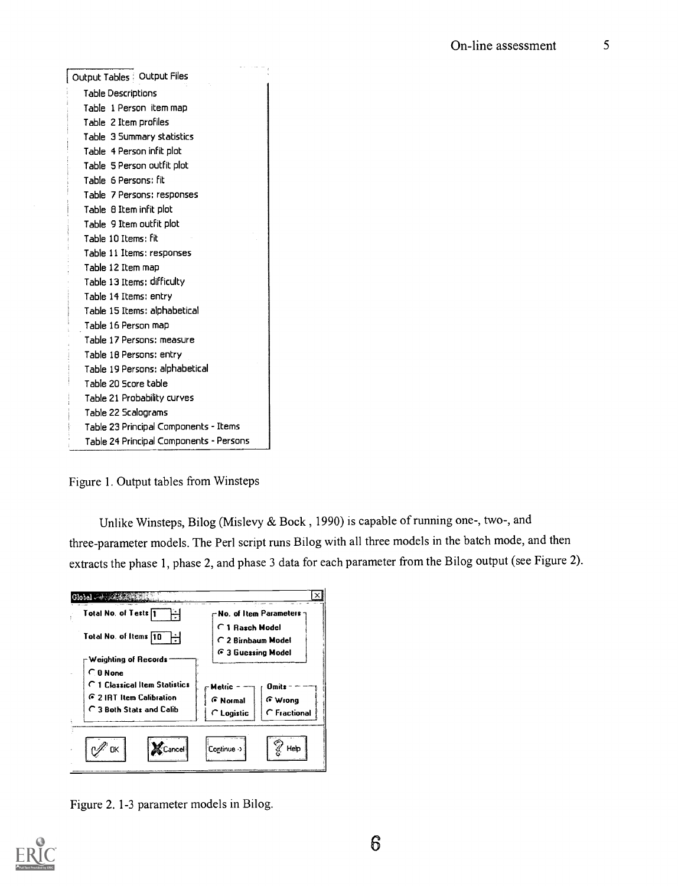| Output Tables   Output Files            |  |
|-----------------------------------------|--|
| <b>Table Descriptions</b>               |  |
| Table 1 Person item map                 |  |
| Table 2 Item profiles                   |  |
| Table 3 Summary statistics              |  |
| Table 4 Person infit plot               |  |
| Table 5 Person outfit plot              |  |
| Table 6 Persons: fit                    |  |
| Table 7 Persons: responses              |  |
| Table 8 Item infit plot                 |  |
| Table 9 Item outfit plot                |  |
| Table 10 Items: fit                     |  |
| Table 11 Items: responses               |  |
| Table 12 Item map                       |  |
| Table 13 Items; difficulty              |  |
| Table 14 Items: entry                   |  |
| Table 15 Items: alphabetical            |  |
| Table 16 Person map                     |  |
| Table 17 Persons: measure               |  |
| Table 18 Persons: entry                 |  |
| Table 19 Persons: alphabetical          |  |
| Table 20 Score table                    |  |
| Table 21 Probability curves             |  |
| Table 22 Scalograms                     |  |
| Table 23 Principal Components - Items   |  |
| Table 24 Principal Components - Persons |  |

Figure 1. Output tables from Winsteps

Unlike Winsteps, Bilog (Mislevy & Bock , 1990) is capable of running one-, two-, and three-parameter models. The Perl script runs Bilog with all three models in the batch mode, and then extracts the phase 1, phase 2, and phase 3 data for each parameter from the Bilog output (see Figure 2).



Figure 2. 1-3 parameter models in Bilog.

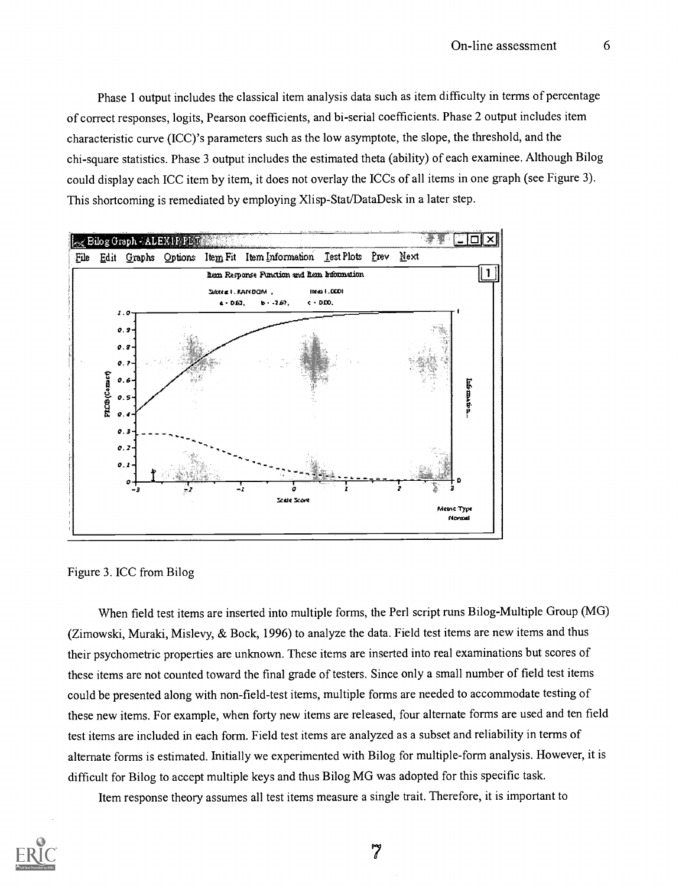Phase 1 output includes the classical item analysis data such as item difficulty in terms of percentage of correct responses, logits, Pearson coefficients, and bi-serial coefficients. Phase 2 output includes item characteristic curve (ICC) 's parameters such as the low asymptote, the slope, the threshold, and the chi-square statistics. Phase 3 output includes the estimated theta (ability) of each examinee. Although Bilog could display each ICC item by item, it does not overlay the ICCs of all items in one graph (see Figure 3). This shortcoming is remediated by employing Xlisp-Stat/DataDesk in a later step.



Figure 3. ICC from Bilog

When field test items are inserted into multiple forms, the Perl script runs Bilog-Multiple Group (MG) (Zimowski, Muraki, Mislevy, & Bock, 1996) to analyze the data. Field test items are new items and thus their psychometric properties are unknown. These items are inserted into real examinations but scores of these items are not counted toward the final grade of testers. Since only a small number of field test items could be presented along with non-field-test items, multiple forms are needed to accommodate testing of these new items. For example, when forty new items are released, four alternate forms are used and ten field test items are included in each form. Field test items are analyzed as a subset and reliability in terms of alternate forms is estimated. Initially we experimented with Bilog for multiple-form analysis. However, it is difficult for Bilog to accept multiple keys and thus Bilog MG was adopted for this specific task.

Item response theory assumes all test items measure a single trait. Therefore, it is important to

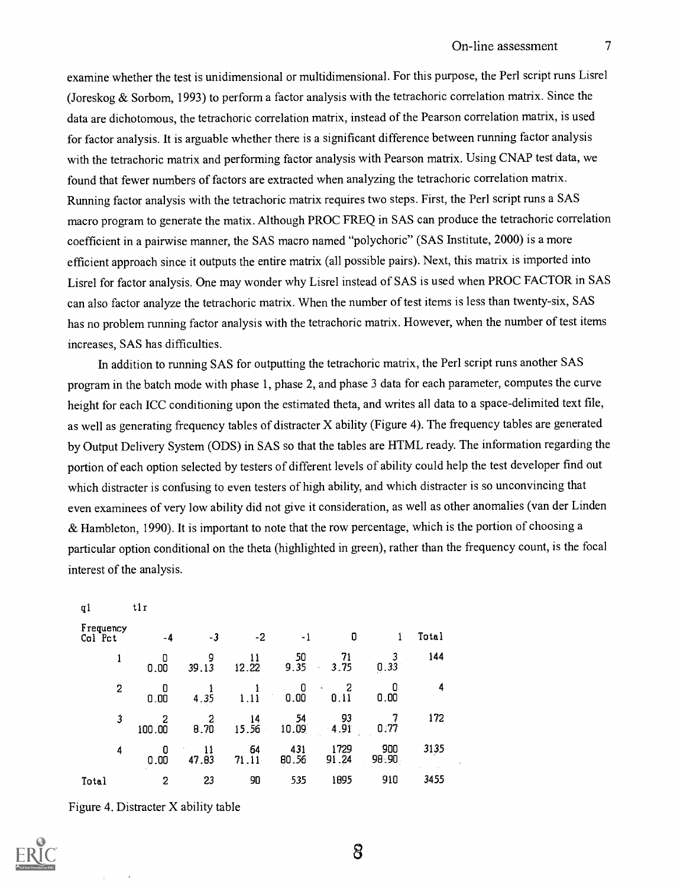examine whether the test is unidimensional or multidimensional. For this purpose, the Peri script runs Lisrel (Joreskog & Sorbom, 1993) to perform a factor analysis with the tetrachoric correlation matrix. Since the data are dichotomous, the tetrachoric correlation matrix, instead of the Pearson correlation matrix, is used for factor analysis. It is arguable whether there is a significant difference between running factor analysis with the tetrachoric matrix and performing factor analysis with Pearson matrix. Using CNAP test data, we found that fewer numbers of factors are extracted when analyzing the tetrachoric correlation matrix. Running factor analysis with the tetrachoric matrix requires two steps. First, the Perl script runs a SAS macro program to generate the matix. Although PROC FREQ in SAS can produce the tetrachoric correlation coefficient in a pairwise manner, the SAS macro named "polychoric" (SAS Institute, 2000) is a more efficient approach since it outputs the entire matrix (all possible pairs). Next, this matrix is imported into Lisrel for factor analysis. One may wonder why Lisrel instead of SAS is used when PROC FACTOR in SAS can also factor analyze the tetrachoric matrix. When the number of test items isless than twenty-six, SAS has no problem running factor analysis with the tetrachoric matrix. However, when the number of test items increases, SAS has difficulties.

In addition to running SAS for outputting the tetrachoric matrix, the Peri script runs another SAS program in the batch mode with phase 1, phase 2, and phase 3 data for each parameter, computesthe curve height for each ICC conditioning upon the estimated theta, and writes all data to a space-delimited text file, as well as generating frequency tables of distracter X ability (Figure 4). The frequency tables are generated by Output Delivery System (ODS) in SAS so that the tables are HTML ready. The information regarding the portion of each option selected by testers of different levels of ability could help the test developer find out which distracter is confusing to even testers of high ability, and which distracter is so unconvincing that even examinees of very low ability did not give it consideration, as well as other anomalies (van der Linden & Hambleton, 1990). It is important to note that the row percentage, which is the portion of choosing a particular option conditional on the theta (highlighted in green), rather than the frequency count, is the focal interest of the analysis.

| ql                   | tir       |             |             |              |                         |              |       |  |
|----------------------|-----------|-------------|-------------|--------------|-------------------------|--------------|-------|--|
| Frequency<br>Col Pct | -4        | -3          | -2          | - 1          | O                       | 1            | Total |  |
| 1                    | 0<br>0.00 | 9<br>39.13  | 11<br>12.22 | $50$<br>9.35 | $\frac{71}{3.75}$<br>÷, | 0.33         | 144   |  |
| 2                    | 0<br>0.00 | 4.35        | 1.11        | 0<br>0.00    | 2<br>$\bullet$<br>0.11  | 0.00         | 4     |  |
| 3                    | 100.00    | 2<br>0.70   | 14<br>15.56 | 54<br>10.09  | 93<br>4.91              | 0:77         | 172   |  |
| 4                    | 0.00      | 11<br>47.83 | 64<br>71.11 | 431<br>80.56 | 1729<br>91.24           | 900<br>98.90 | 3135  |  |
| Total                | 2         | 23          | 90          | 535          | 1895                    | 910          | 3455  |  |

Figure 4. Distracter X ability table

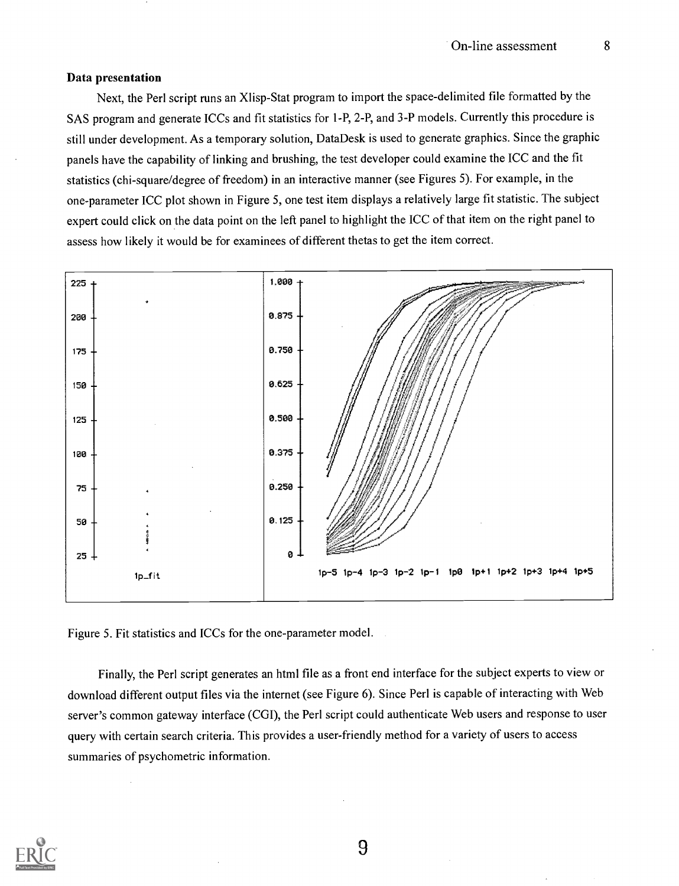#### Data presentation

Next, the Perl script runs an Xlisp-Stat program to import the space-delimited file formatted by the SAS program and generate ICCs and fit statistics for 1-P, 2-P, and 3-P models. Currently this procedure is still under development. As a temporary solution, DataDesk is used to generate graphics. Since the graphic panels have the capability of linking and brushing, the test developer could examine the ICC and the fit statistics (chi-square/degree of freedom) in an interactive manner (see Figures 5). For example, in the one-parameter ICC plot shown in Figure 5, one test item displays a relatively large fit statistic. The subject expert could click on the data point on the left panel to highlight the ICC of that item on the right panel to assess how likely it would be for examinees of different thetas to get the item correct.



Figure 5. Fit statistics and ICCs for the one-parameter model.

Finally, the Perl script generates an html file as a front end interface for the subject experts to view or download different output files via the internet (see Figure 6). Since Perl is capable of interacting with Web server's common gateway interface (CGI), the Perl script could authenticate Web users and response to user query with certain search criteria. This provides a user-friendly method for a variety of users to access summaries of psychometric information.

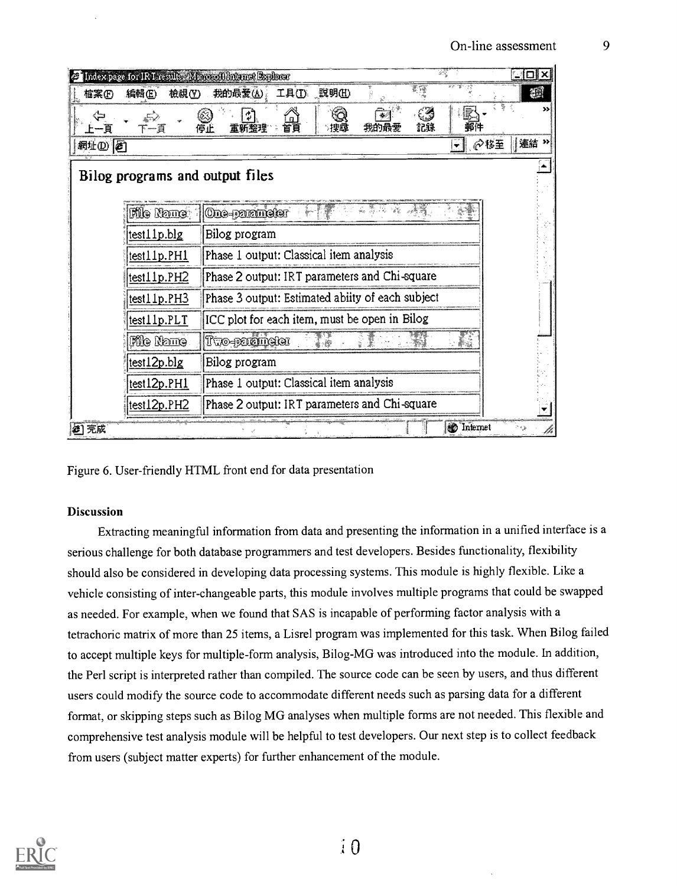| Intex page for IRT results Microsoft Internet Explorer |                                                   | <u>. 101</u>             |    |  |  |
|--------------------------------------------------------|---------------------------------------------------|--------------------------|----|--|--|
| 編輯(E)<br>檢視①<br>檔案ED                                   | 工具① 說明(1)<br>我的最爱(A)。                             |                          | æ  |  |  |
| T                                                      | 首頁<br>我的最爱<br>停止                                  | 記錄<br>郵件                 |    |  |  |
| 網址(1) 2                                                |                                                   | ⊘移至<br>۳                 | 連結 |  |  |
| Bilog programs and output files                        |                                                   |                          |    |  |  |
| <b>File Name</b>                                       | <b>One-parameter</b>                              |                          |    |  |  |
| test11p.blg                                            | Bilog program                                     |                          |    |  |  |
| lest11p.PH1                                            | Phase 1 output: Classical item analysis           |                          |    |  |  |
| test11p.PH2                                            | Phase 2 output: IRT parameters and Chi-square     |                          |    |  |  |
| test11p.PH3                                            | Phase 3 output: Estimated ability of each subject |                          |    |  |  |
| test11p.PLT                                            | ICC plot for each item, must be open in Bilog     |                          |    |  |  |
| <b>File Name</b>                                       | Two-parameter                                     |                          |    |  |  |
| test12p.blg                                            | Bilog program                                     |                          |    |  |  |
| test12p.PH1                                            | Phase 1 output: Classical item analysis           |                          |    |  |  |
| test12p.PH2                                            | Phase 2 output: IRT parameters and Chi-square     |                          |    |  |  |
| 2 元成                                                   |                                                   | <b><i>O</i></b> Internet |    |  |  |

Figure 6. User-friendly HTML front end for data presentation

#### Discussion

Extracting meaningful information from data and presenting the information in a unified interface is a serious challenge for both database programmers and test developers. Besides functionality, flexibility should also be considered in developing data processing systems. This module is highly flexible. Like a vehicle consisting of inter-changeable parts, this module involves multiple programs that could be swapped as needed. For example, when we found that SAS is incapable of performing factor analysis with a tetrachoric matrix of more than 25 items, a Lisrel program was implemented for this task. When Bilog failed to accept multiple keys for multiple-form analysis, Bilog-MG was introduced into the module. In addition, the Perl script is interpreted rather than compiled. The source code can be seen by users, and thus different users could modify the source code to accommodate different needs such as parsing data for a different format, or skipping steps such as Bilog MG analyses when multiple forms are not needed. This flexible and comprehensive test analysis module will be helpful to test developers. Our next step is to collect feedback from users (subject matter experts) for further enhancement of the module.

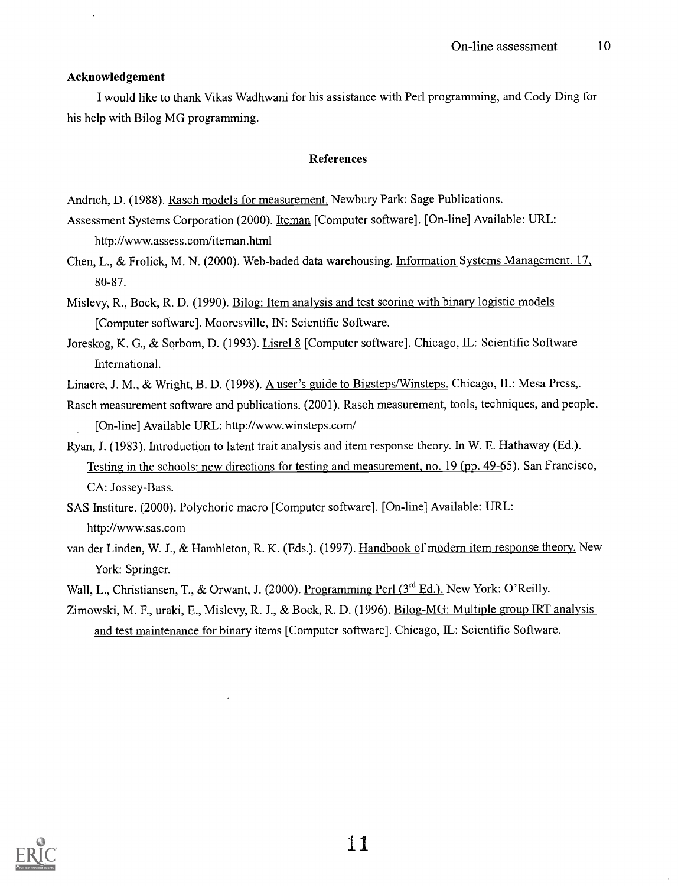#### Acknowledgement

I would like to thank Vikas Wadhwani for his assistance with Perl programming, and Cody Ding for his help with Bilog MG programming.

#### References

Andrich, D. (1988). Rasch models for measurement. Newbury Park: Sage Publications.

Assessment Systems Corporation (2000). Iteman [Computer software]. [On-line] Available: URL: http://www.assess.com/iteman.html

Chen, L., & Frolick, M. N. (2000). Web-baded data warehousing. Information Systems Management. 17, 80-87.

Mislevy, R., Bock, R. D. (1990). Bilog: Item analysis and test scoring with binary logistic models [Computer software]. Mooresville, IN: Scientific Software.

Joreskog, K. G., & Sorbom, D. (1993). Lisrel 8 [Computer software]. Chicago, IL: Scientific Software International.

Linacre, J. M., & Wright, B. D. (1998). A user's guide to Bigsteps/Winsteps. Chicago, IL: Mesa Press,.

- Rasch measurement software and publications. (2001). Rasch measurement, tools, techniques, and people. [On-line] Available URL: http://www.winsteps.com/
- Ryan, J. (1983). Introduction to latent trait analysis and item response theory. In W. E. Hathaway (Ed.). Testing in the schools: new directions for testing and measurement, no. 19 (pp. 49-65). San Francisco, CA: Jossey-Bass.

SAS Institure. (2000). Polychoric macro [Computer software]. [On-line] Available: URL: http://www.sas.com

van der Linden, W. J., & Hambleton, R. K. (Eds.). (1997). Handbook of modern item response theory. New York: Springer.

Wall, L., Christiansen, T., & Orwant, J. (2000). Programming Perl (3<sup>rd</sup> Ed.). New York: O'Reilly.

Zimowski, M. F., uraki, E., Mislevy, R. J., & Bock, R. D. (1996). Bilog-MG: Multiple group IRT analysis and test maintenance for binary items [Computer software]. Chicago, IL: Scientific Software.

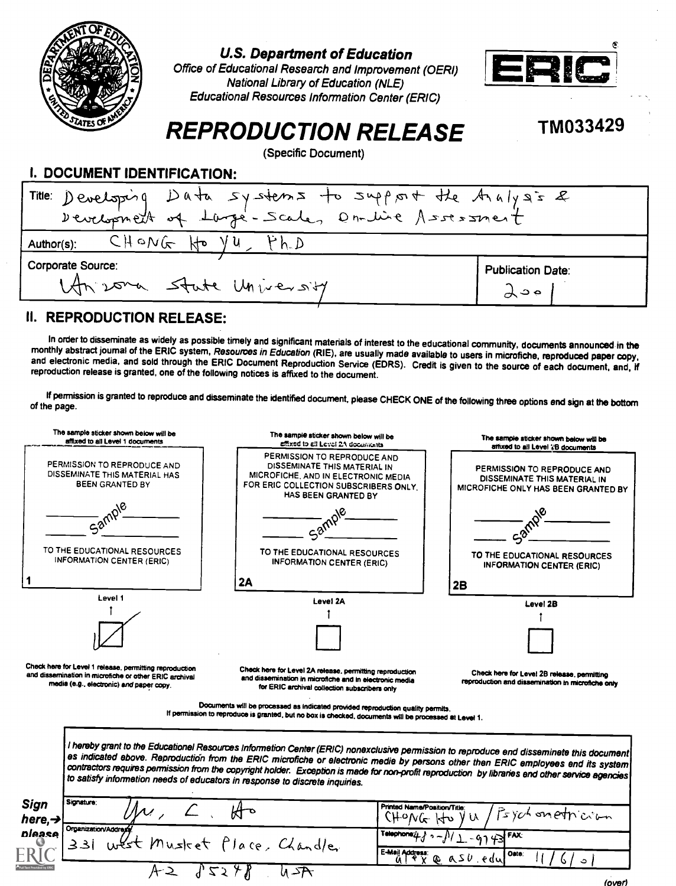

### U.S. Department of Education



Office of Educational Research and Improvement (OERI) National Library of Education (NLE) Educational Resources Information Center (ERIC)

# TM033429

# REPRODUCTION RELEASE

(Specific Document)



### 11. REPRODUCTION RELEASE:

In order to disseminate as widely as possible timely and significant materials of interest to the educational community, documents announced in the<br>monthly abstract journal of the ERIC system, Resources in Education (RIE),

If permission is granted to reproduce and disseminate the identified document, please CHECK ONE of the following three options end sign at the bottom<br>of the page.